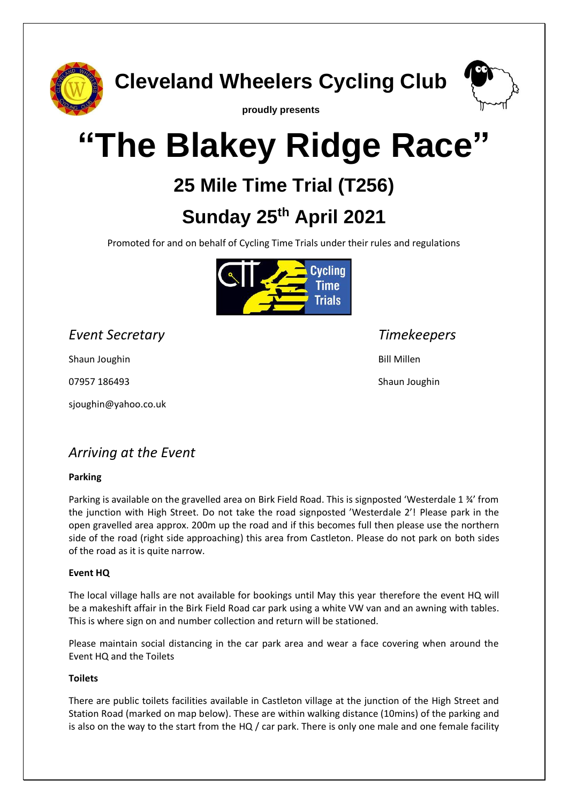

**Cleveland Wheelers Cycling Club**



**proudly presents**

# **"The Blakey Ridge Race"**

## **25 Mile Time Trial (T256)**

## **Sunday 25th April 2021**

Promoted for and on behalf of Cycling Time Trials under their rules and regulations



*Event Secretary Timekeepers*

Shaun Joughin

07957 186493

sjoughin@yahoo.co.uk

## *Arriving at the Event*

#### **Parking**

Parking is available on the gravelled area on Birk Field Road. This is signposted 'Westerdale 1 ¾' from the junction with High Street. Do not take the road signposted 'Westerdale 2'! Please park in the open gravelled area approx. 200m up the road and if this becomes full then please use the northern side of the road (right side approaching) this area from Castleton. Please do not park on both sides of the road as it is quite narrow.

#### **Event HQ**

The local village halls are not available for bookings until May this year therefore the event HQ will be a makeshift affair in the Birk Field Road car park using a white VW van and an awning with tables. This is where sign on and number collection and return will be stationed.

Please maintain social distancing in the car park area and wear a face covering when around the Event HQ and the Toilets

#### **Toilets**

There are public toilets facilities available in Castleton village at the junction of the High Street and Station Road (marked on map below). These are within walking distance (10mins) of the parking and is also on the way to the start from the HQ / car park. There is only one male and one female facility

Bill Millen

Shaun Joughin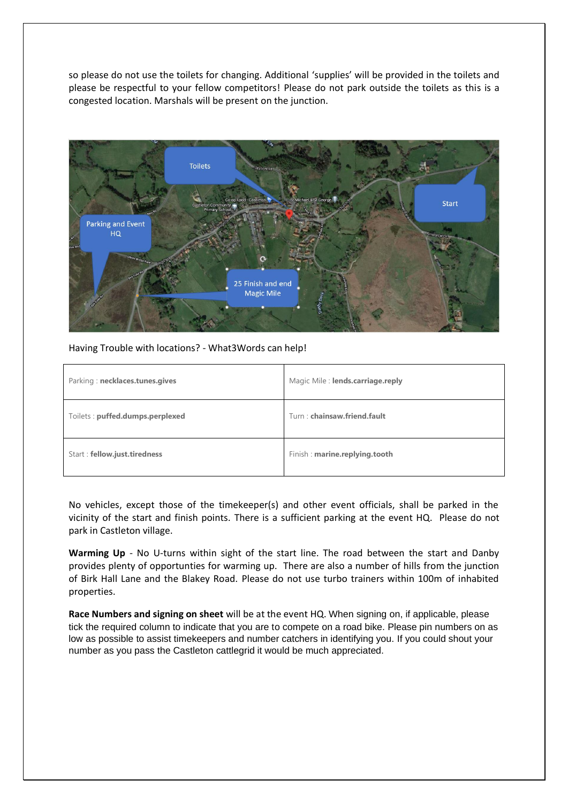so please do not use the toilets for changing. Additional 'supplies' will be provided in the toilets and please be respectful to your fellow competitors! Please do not park outside the toilets as this is a congested location. Marshals will be present on the junction.



Having Trouble with locations? - What3Words can help!

| Parking: necklaces.tunes.gives  | Magic Mile: lends.carriage.reply |
|---------------------------------|----------------------------------|
| Toilets: puffed.dumps.perplexed | Turn: chainsaw.friend.fault      |
| Start: fellow.just.tiredness    | Finish: marine.replying.tooth    |

No vehicles, except those of the timekeeper(s) and other event officials, shall be parked in the vicinity of the start and finish points. There is a sufficient parking at the event HQ. Please do not park in Castleton village.

**Warming Up** - No U-turns within sight of the start line. The road between the start and Danby provides plenty of opportunties for warming up. There are also a number of hills from the junction of Birk Hall Lane and the Blakey Road. Please do not use turbo trainers within 100m of inhabited properties.

**Race Numbers and signing on sheet** will be at the event HQ. When signing on, if applicable, please tick the required column to indicate that you are to compete on a road bike. Please pin numbers on as low as possible to assist timekeepers and number catchers in identifying you. If you could shout your number as you pass the Castleton cattlegrid it would be much appreciated.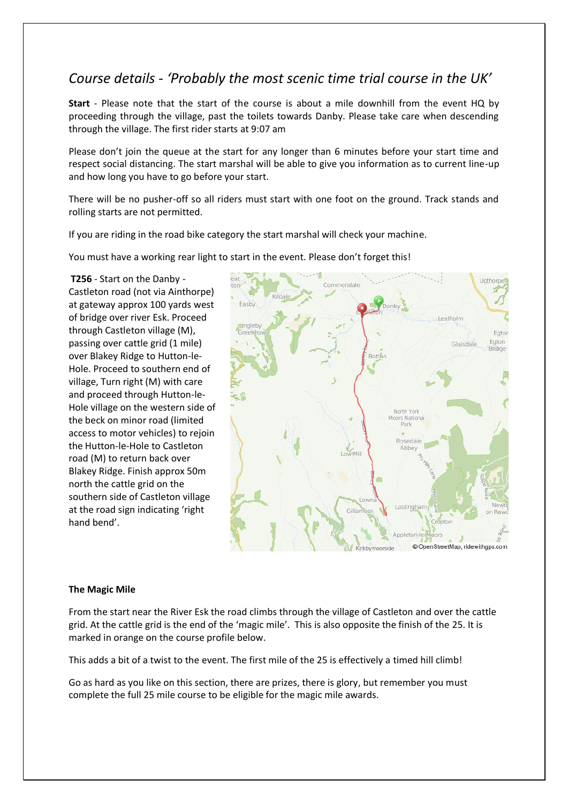## *Course details - 'Probably the most scenic time trial course in the UK'*

**Start** - Please note that the start of the course is about a mile downhill from the event HQ by proceeding through the village, past the toilets towards Danby. Please take care when descending through the village. The first rider starts at 9:07 am

Please don't join the queue at the start for any longer than 6 minutes before your start time and respect social distancing. The start marshal will be able to give you information as to current line-up and how long you have to go before your start.

There will be no pusher-off so all riders must start with one foot on the ground. Track stands and rolling starts are not permitted.

If you are riding in the road bike category the start marshal will check your machine.

You must have a working rear light to start in the event. Please don't forget this!

**T256** - Start on the Danby - Castleton road (not via Ainthorpe) at gateway approx 100 yards west of bridge over river Esk. Proceed through Castleton village (M), passing over cattle grid (1 mile) over Blakey Ridge to Hutton-le-Hole. Proceed to southern end of village, Turn right (M) with care and proceed through Hutton-le-Hole village on the western side of the beck on minor road (limited access to motor vehicles) to rejoin the Hutton-le-Hole to Castleton road (M) to return back over Blakey Ridge. Finish approx 50m north the cattle grid on the southern side of Castleton village at the road sign indicating 'right hand bend'.



#### **The Magic Mile**

From the start near the River Esk the road climbs through the village of Castleton and over the cattle grid. At the cattle grid is the end of the 'magic mile'. This is also opposite the finish of the 25. It is marked in orange on the course profile below.

This adds a bit of a twist to the event. The first mile of the 25 is effectively a timed hill climb!

Go as hard as you like on this section, there are prizes, there is glory, but remember you must complete the full 25 mile course to be eligible for the magic mile awards.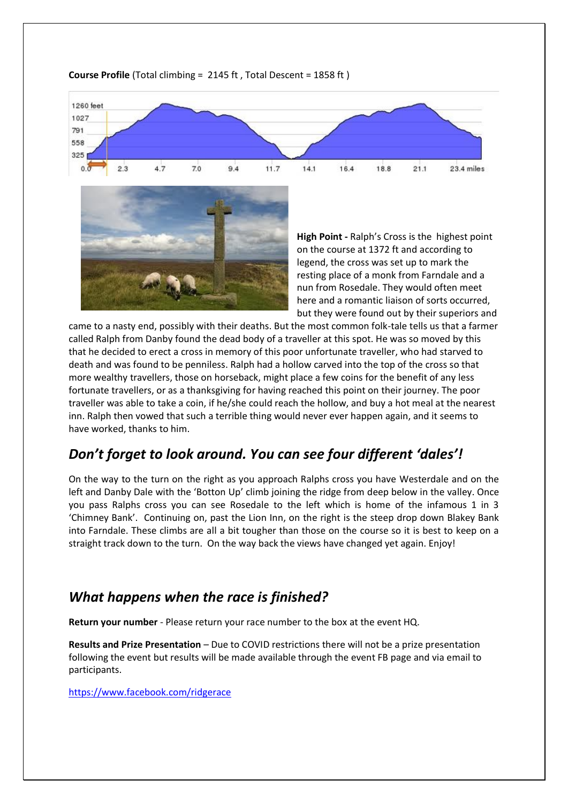

#### **Course Profile** (Total climbing = 2145 ft , Total Descent = 1858 ft )



**High Point -** Ralph's Cross is the highest point on the course at 1372 ft and according to legend, the cross was set up to mark the resting place of a monk from Farndale and a nun from Rosedale. They would often meet here and a romantic liaison of sorts occurred, but they were found out by their superiors and

came to a nasty end, possibly with their deaths. But the most common folk-tale tells us that a farmer called Ralph from Danby found the dead body of a traveller at this spot. He was so moved by this that he decided to erect a cross in memory of this poor unfortunate traveller, who had starved to death and was found to be penniless. Ralph had a hollow carved into the top of the cross so that more wealthy travellers, those on horseback, might place a few coins for the benefit of any less fortunate travellers, or as a thanksgiving for having reached this point on their journey. The poor traveller was able to take a coin, if he/she could reach the hollow, and buy a hot meal at the nearest inn. Ralph then vowed that such a terrible thing would never ever happen again, and it seems to have worked, thanks to him.

## *Don't forget to look around. You can see four different 'dales'!*

On the way to the turn on the right as you approach Ralphs cross you have Westerdale and on the left and Danby Dale with the 'Botton Up' climb joining the ridge from deep below in the valley. Once you pass Ralphs cross you can see Rosedale to the left which is home of the infamous 1 in 3 'Chimney Bank'. Continuing on, past the Lion Inn, on the right is the steep drop down Blakey Bank into Farndale. These climbs are all a bit tougher than those on the course so it is best to keep on a straight track down to the turn. On the way back the views have changed yet again. Enjoy!

## *What happens when the race is finished?*

**Return your number** - Please return your race number to the box at the event HQ.

**Results and Prize Presentation** – Due to COVID restrictions there will not be a prize presentation following the event but results will be made available through the event FB page and via email to participants.

<https://www.facebook.com/ridgerace>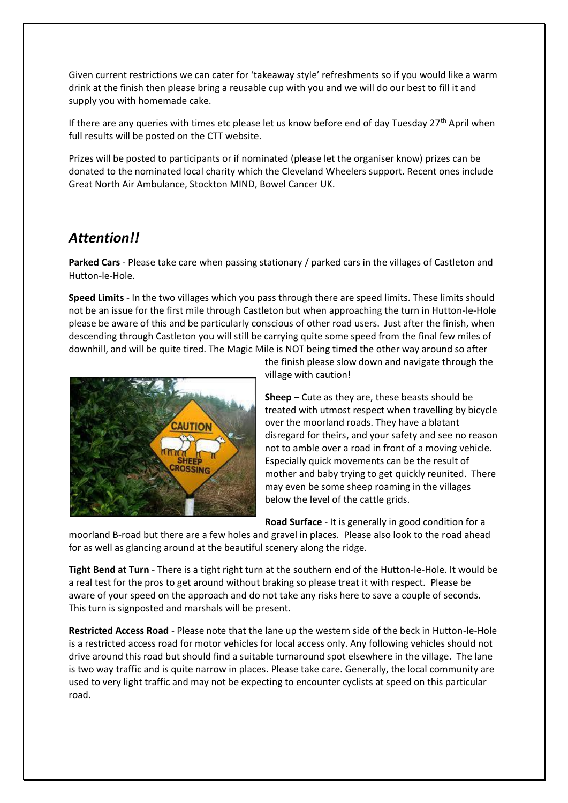Given current restrictions we can cater for 'takeaway style' refreshments so if you would like a warm drink at the finish then please bring a reusable cup with you and we will do our best to fill it and supply you with homemade cake.

If there are any queries with times etc please let us know before end of day Tuesday  $27<sup>th</sup>$  April when full results will be posted on the CTT website.

Prizes will be posted to participants or if nominated (please let the organiser know) prizes can be donated to the nominated local charity which the Cleveland Wheelers support. Recent ones include Great North Air Ambulance, Stockton MIND, Bowel Cancer UK.

## *Attention!!*

**Parked Cars** - Please take care when passing stationary / parked cars in the villages of Castleton and Hutton-le-Hole.

**Speed Limits** - In the two villages which you pass through there are speed limits. These limits should not be an issue for the first mile through Castleton but when approaching the turn in Hutton-le-Hole please be aware of this and be particularly conscious of other road users. Just after the finish, when descending through Castleton you will still be carrying quite some speed from the final few miles of downhill, and will be quite tired. The Magic Mile is NOT being timed the other way around so after



the finish please slow down and navigate through the village with caution!

**Sheep –** Cute as they are, these beasts should be treated with utmost respect when travelling by bicycle over the moorland roads. They have a blatant disregard for theirs, and your safety and see no reason not to amble over a road in front of a moving vehicle. Especially quick movements can be the result of mother and baby trying to get quickly reunited. There may even be some sheep roaming in the villages below the level of the cattle grids.

**Road Surface** - It is generally in good condition for a

moorland B-road but there are a few holes and gravel in places. Please also look to the road ahead for as well as glancing around at the beautiful scenery along the ridge.

**Tight Bend at Turn** - There is a tight right turn at the southern end of the Hutton-le-Hole. It would be a real test for the pros to get around without braking so please treat it with respect. Please be aware of your speed on the approach and do not take any risks here to save a couple of seconds. This turn is signposted and marshals will be present.

**Restricted Access Road** - Please note that the lane up the western side of the beck in Hutton-le-Hole is a restricted access road for motor vehicles for local access only. Any following vehicles should not drive around this road but should find a suitable turnaround spot elsewhere in the village. The lane is two way traffic and is quite narrow in places. Please take care. Generally, the local community are used to very light traffic and may not be expecting to encounter cyclists at speed on this particular road.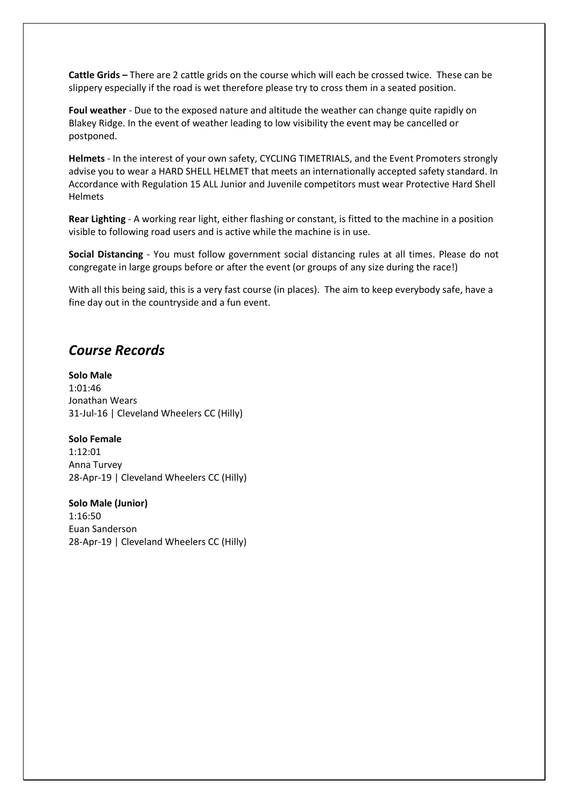**Cattle Grids –** There are 2 cattle grids on the course which will each be crossed twice. These can be slippery especially if the road is wet therefore please try to cross them in a seated position.

**Foul weather** - Due to the exposed nature and altitude the weather can change quite rapidly on Blakey Ridge. In the event of weather leading to low visibility the event may be cancelled or postponed.

**Helmets** - In the interest of your own safety, CYCLING TIMETRIALS, and the Event Promoters strongly advise you to wear a HARD SHELL HELMET that meets an internationally accepted safety standard. In Accordance with Regulation 15 ALL Junior and Juvenile competitors must wear Protective Hard Shell Helmets

**Rear Lighting** - A working rear light, either flashing or constant, is fitted to the machine in a position visible to following road users and is active while the machine is in use.

**Social Distancing** - You must follow government social distancing rules at all times. Please do not congregate in large groups before or after the event (or groups of any size during the race!)

With all this being said, this is a very fast course (in places). The aim to keep everybody safe, have a fine day out in the countryside and a fun event.

### *Course Records*

**Solo Male** 1:01:46 Jonathan Wears 31-Jul-16 | Cleveland Wheelers CC (Hilly)

**Solo Female** 1:12:01 Anna Turvey 28-Apr-19 | Cleveland Wheelers CC (Hilly)

**Solo Male (Junior)** 1:16:50 Euan Sanderson 28-Apr-19 | Cleveland Wheelers CC (Hilly)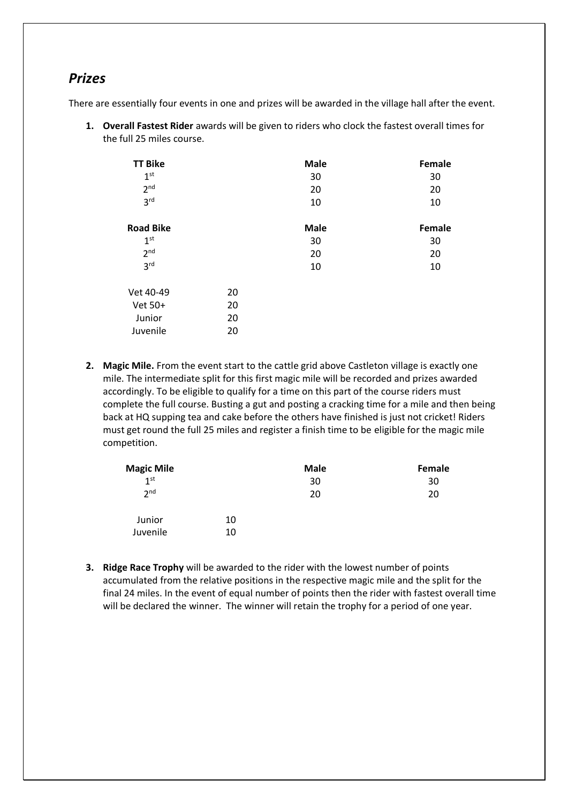### *Prizes*

There are essentially four events in one and prizes will be awarded in the village hall after the event.

**1. Overall Fastest Rider** awards will be given to riders who clock the fastest overall times for the full 25 miles course.

| <b>TT Bike</b><br>1 <sup>st</sup> |    | <b>Male</b><br>30 | Female<br>30 |
|-----------------------------------|----|-------------------|--------------|
| 2 <sup>nd</sup>                   |    | 20                | 20           |
| 3 <sup>rd</sup>                   |    | 10                | 10           |
| <b>Road Bike</b>                  |    | <b>Male</b>       | Female       |
| 1 <sup>st</sup>                   |    | 30                | 30           |
| 2 <sup>nd</sup>                   |    | 20                | 20           |
| 3 <sup>rd</sup>                   |    | 10                | 10           |
| Vet 40-49                         | 20 |                   |              |
| Vet 50+                           | 20 |                   |              |
| Junior                            | 20 |                   |              |
| Juvenile                          | 20 |                   |              |

**2. Magic Mile.** From the event start to the cattle grid above Castleton village is exactly one mile. The intermediate split for this first magic mile will be recorded and prizes awarded accordingly. To be eligible to qualify for a time on this part of the course riders must complete the full course. Busting a gut and posting a cracking time for a mile and then being back at HQ supping tea and cake before the others have finished is just not cricket! Riders must get round the full 25 miles and register a finish time to be eligible for the magic mile competition.

| <b>Magic Mile</b> |    | <b>Male</b> | Female |
|-------------------|----|-------------|--------|
| 1 <sup>st</sup>   |    | 30          | 30     |
| 2 <sup>nd</sup>   |    | 20          | 20     |
| Junior            | 10 |             |        |
| Juvenile          | 10 |             |        |

**3. Ridge Race Trophy** will be awarded to the rider with the lowest number of points accumulated from the relative positions in the respective magic mile and the split for the final 24 miles. In the event of equal number of points then the rider with fastest overall time will be declared the winner. The winner will retain the trophy for a period of one year.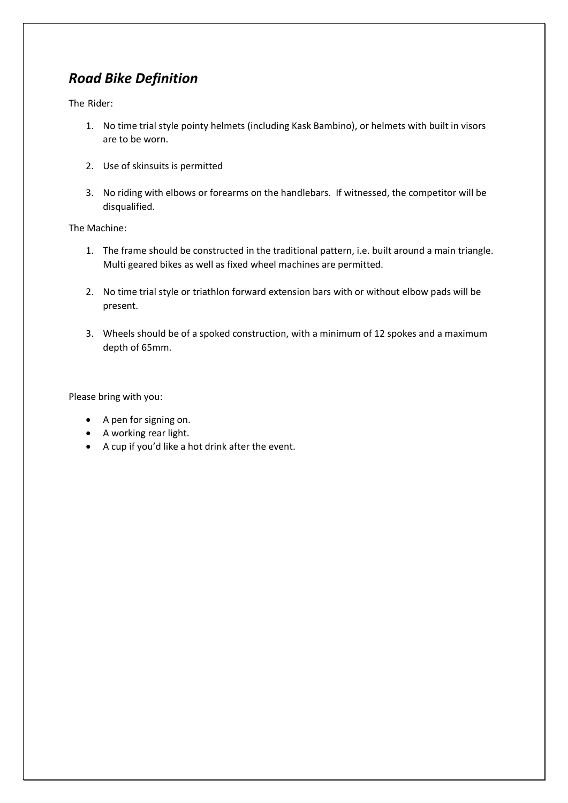## *Road Bike Definition*

The Rider:

- 1. No time trial style pointy helmets (including Kask Bambino), or helmets with built in visors are to be worn.
- 2. Use of skinsuits is permitted
- 3. No riding with elbows or forearms on the handlebars. If witnessed, the competitor will be disqualified.

The Machine:

- 1. The frame should be constructed in the traditional pattern, i.e. built around a main triangle. Multi geared bikes as well as fixed wheel machines are permitted.
- 2. No time trial style or triathlon forward extension bars with or without elbow pads will be present.
- 3. Wheels should be of a spoked construction, with a minimum of 12 spokes and a maximum depth of 65mm.

Please bring with you:

- A pen for signing on.
- A working rear light.
- A cup if you'd like a hot drink after the event.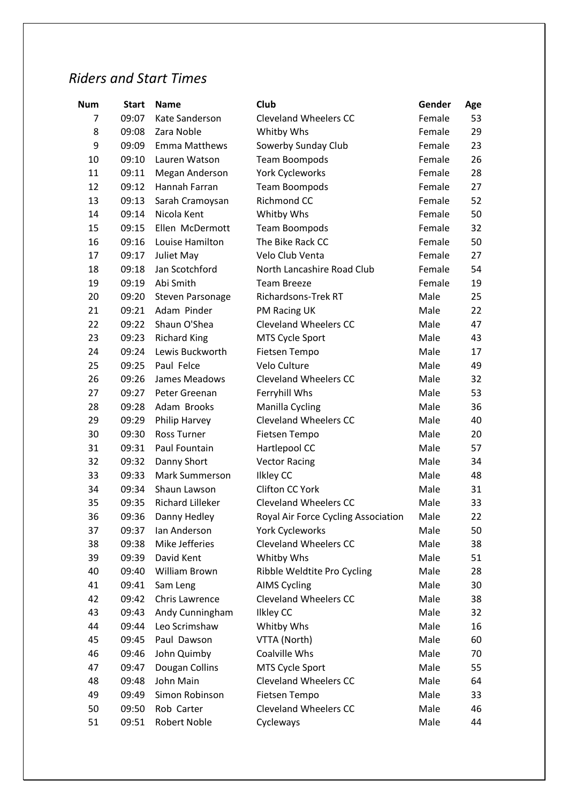## *Riders and Start Times*

| <b>Num</b> | <b>Start</b> | <b>Name</b>             | Club                                | Gender | Age |
|------------|--------------|-------------------------|-------------------------------------|--------|-----|
| 7          | 09:07        | Kate Sanderson          | <b>Cleveland Wheelers CC</b>        | Female | 53  |
| 8          | 09:08        | Zara Noble              | Whitby Whs                          | Female | 29  |
| 9          | 09:09        | <b>Emma Matthews</b>    | Sowerby Sunday Club                 | Female | 23  |
| 10         | 09:10        | Lauren Watson           | Team Boompods                       | Female | 26  |
| 11         | 09:11        | Megan Anderson          | York Cycleworks                     | Female | 28  |
| 12         | 09:12        | Hannah Farran           | <b>Team Boompods</b>                | Female | 27  |
| 13         | 09:13        | Sarah Cramoysan         | Richmond CC                         | Female | 52  |
| 14         | 09:14        | Nicola Kent             | Whitby Whs                          | Female | 50  |
| 15         | 09:15        | Ellen McDermott         | <b>Team Boompods</b>                | Female | 32  |
| 16         | 09:16        | Louise Hamilton         | The Bike Rack CC                    | Female | 50  |
| 17         | 09:17        | Juliet May              | Velo Club Venta                     | Female | 27  |
| 18         | 09:18        | Jan Scotchford          | North Lancashire Road Club          | Female | 54  |
| 19         | 09:19        | Abi Smith               | <b>Team Breeze</b>                  | Female | 19  |
| 20         | 09:20        | Steven Parsonage        | Richardsons-Trek RT                 | Male   | 25  |
| 21         | 09:21        | Adam Pinder             | PM Racing UK                        | Male   | 22  |
| 22         | 09:22        | Shaun O'Shea            | <b>Cleveland Wheelers CC</b>        | Male   | 47  |
| 23         | 09:23        | <b>Richard King</b>     | MTS Cycle Sport                     | Male   | 43  |
| 24         | 09:24        | Lewis Buckworth         | Fietsen Tempo                       | Male   | 17  |
| 25         | 09:25        | Paul Felce              | Velo Culture                        | Male   | 49  |
| 26         | 09:26        | James Meadows           | <b>Cleveland Wheelers CC</b>        | Male   | 32  |
| 27         | 09:27        | Peter Greenan           | Ferryhill Whs                       | Male   | 53  |
| 28         | 09:28        | Adam Brooks             | Manilla Cycling                     | Male   | 36  |
| 29         | 09:29        | Philip Harvey           | <b>Cleveland Wheelers CC</b>        | Male   | 40  |
| 30         | 09:30        | <b>Ross Turner</b>      | Fietsen Tempo                       | Male   | 20  |
| 31         | 09:31        | Paul Fountain           | Hartlepool CC                       | Male   | 57  |
| 32         | 09:32        | Danny Short             | <b>Vector Racing</b>                | Male   | 34  |
| 33         | 09:33        | <b>Mark Summerson</b>   | <b>Ilkley CC</b>                    | Male   | 48  |
| 34         | 09:34        | Shaun Lawson            | Clifton CC York                     | Male   | 31  |
| 35         | 09:35        | <b>Richard Lilleker</b> | <b>Cleveland Wheelers CC</b>        | Male   | 33  |
| 36         | 09:36        | Danny Hedley            | Royal Air Force Cycling Association | Male   | 22  |
| 37         | 09:37        | Ian Anderson            | <b>York Cycleworks</b>              | Male   | 50  |
| 38         | 09:38        | Mike Jefferies          | <b>Cleveland Wheelers CC</b>        | Male   | 38  |
| 39         | 09:39        | David Kent              | Whitby Whs                          | Male   | 51  |
| 40         | 09:40        | William Brown           | Ribble Weldtite Pro Cycling         | Male   | 28  |
| 41         | 09:41        | Sam Leng                | <b>AIMS Cycling</b>                 | Male   | 30  |
| 42         | 09:42        | Chris Lawrence          | <b>Cleveland Wheelers CC</b>        | Male   | 38  |
| 43         | 09:43        | Andy Cunningham         | <b>Ilkley CC</b>                    | Male   | 32  |
| 44         | 09:44        | Leo Scrimshaw           | Whitby Whs                          | Male   | 16  |
| 45         | 09:45        | Paul Dawson             | VTTA (North)                        | Male   | 60  |
| 46         | 09:46        | John Quimby             | Coalville Whs                       | Male   | 70  |
| 47         | 09:47        | Dougan Collins          | MTS Cycle Sport                     | Male   | 55  |
| 48         | 09:48        | John Main               | Cleveland Wheelers CC               | Male   | 64  |
| 49         | 09:49        | Simon Robinson          | Fietsen Tempo                       | Male   | 33  |
| 50         | 09:50        | Rob Carter              | <b>Cleveland Wheelers CC</b>        | Male   | 46  |
| 51         | 09:51        | Robert Noble            | Cycleways                           | Male   | 44  |